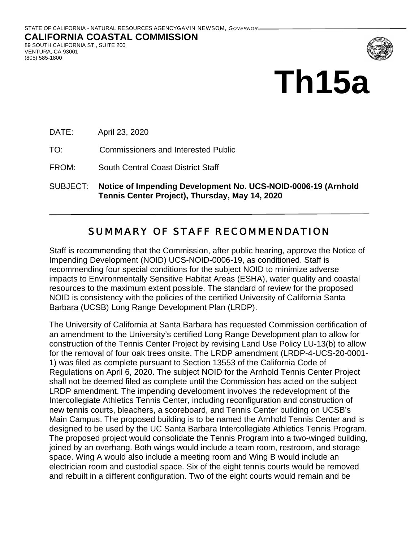

# **Th15a**

DATE: April 23, 2020

TO: Commissioners and Interested Public

FROM: South Central Coast District Staff

SUBJECT: **Notice of Impending Development No. UCS-NOID-0006-19 (Arnhold Tennis Center Project), Thursday, May 14, 2020**

# SUMMARY OF STAFF RECOMMENDATION

Staff is recommending that the Commission, after public hearing, approve the Notice of Impending Development (NOID) UCS-NOID-0006-19, as conditioned. Staff is recommending four special conditions for the subject NOID to minimize adverse impacts to Environmentally Sensitive Habitat Areas (ESHA), water quality and coastal resources to the maximum extent possible. The standard of review for the proposed NOID is consistency with the policies of the certified University of California Santa Barbara (UCSB) Long Range Development Plan (LRDP).

The University of California at Santa Barbara has requested Commission certification of an amendment to the University's certified Long Range Development plan to allow for construction of the Tennis Center Project by revising Land Use Policy LU-13(b) to allow for the removal of four oak trees onsite. The LRDP amendment (LRDP-4-UCS-20-0001- 1) was filed as complete pursuant to Section 13553 of the California Code of Regulations on April 6, 2020. The subject NOID for the Arnhold Tennis Center Project shall not be deemed filed as complete until the Commission has acted on the subject LRDP amendment. The impending development involves the redevelopment of the Intercollegiate Athletics Tennis Center, including reconfiguration and construction of new tennis courts, bleachers, a scoreboard, and Tennis Center building on UCSB's Main Campus. The proposed building is to be named the Arnhold Tennis Center and is designed to be used by the UC Santa Barbara Intercollegiate Athletics Tennis Program. The proposed project would consolidate the Tennis Program into a two-winged building, joined by an overhang. Both wings would include a team room, restroom, and storage space. Wing A would also include a meeting room and Wing B would include an electrician room and custodial space. Six of the eight tennis courts would be removed and rebuilt in a different configuration. Two of the eight courts would remain and be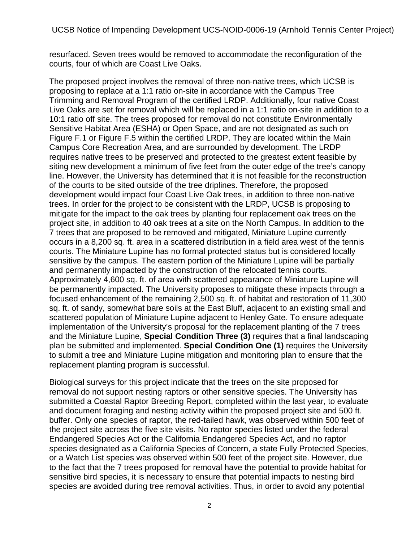UCSB Notice of Impending Development UCS-NOID-0006-19 (Arnhold Tennis Center Project)

resurfaced. Seven trees would be removed to accommodate the reconfiguration of the courts, four of which are Coast Live Oaks.

The proposed project involves the removal of three non-native trees, which UCSB is proposing to replace at a 1:1 ratio on-site in accordance with the Campus Tree Trimming and Removal Program of the certified LRDP. Additionally, four native Coast Live Oaks are set for removal which will be replaced in a 1:1 ratio on-site in addition to a 10:1 ratio off site. The trees proposed for removal do not constitute Environmentally Sensitive Habitat Area (ESHA) or Open Space, and are not designated as such on Figure F.1 or Figure F.5 within the certified LRDP. They are located within the Main Campus Core Recreation Area, and are surrounded by development. The LRDP requires native trees to be preserved and protected to the greatest extent feasible by siting new development a minimum of five feet from the outer edge of the tree's canopy line. However, the University has determined that it is not feasible for the reconstruction of the courts to be sited outside of the tree driplines. Therefore, the proposed development would impact four Coast Live Oak trees, in addition to three non-native trees. In order for the project to be consistent with the LRDP, UCSB is proposing to mitigate for the impact to the oak trees by planting four replacement oak trees on the project site, in addition to 40 oak trees at a site on the North Campus. In addition to the 7 trees that are proposed to be removed and mitigated, Miniature Lupine currently occurs in a 8,200 sq. ft. area in a scattered distribution in a field area west of the tennis courts. The Miniature Lupine has no formal protected status but is considered locally sensitive by the campus. The eastern portion of the Miniature Lupine will be partially and permanently impacted by the construction of the relocated tennis courts. Approximately 4,600 sq. ft. of area with scattered appearance of Miniature Lupine will be permanently impacted. The University proposes to mitigate these impacts through a focused enhancement of the remaining 2,500 sq. ft. of habitat and restoration of 11,300 sq. ft. of sandy, somewhat bare soils at the East Bluff, adjacent to an existing small and scattered population of Miniature Lupine adjacent to Henley Gate. To ensure adequate implementation of the University's proposal for the replacement planting of the 7 trees and the Miniature Lupine, **Special Condition Three (3)** requires that a final landscaping plan be submitted and implemented. **Special Condition One (1)** requires the University to submit a tree and Miniature Lupine mitigation and monitoring plan to ensure that the replacement planting program is successful.

Biological surveys for this project indicate that the trees on the site proposed for removal do not support nesting raptors or other sensitive species. The University has submitted a Coastal Raptor Breeding Report, completed within the last year, to evaluate and document foraging and nesting activity within the proposed project site and 500 ft. buffer. Only one species of raptor, the red-tailed hawk, was observed within 500 feet of the project site across the five site visits. No raptor species listed under the federal Endangered Species Act or the California Endangered Species Act, and no raptor species designated as a California Species of Concern, a state Fully Protected Species, or a Watch List species was observed within 500 feet of the project site. However, due to the fact that the 7 trees proposed for removal have the potential to provide habitat for sensitive bird species, it is necessary to ensure that potential impacts to nesting bird species are avoided during tree removal activities. Thus, in order to avoid any potential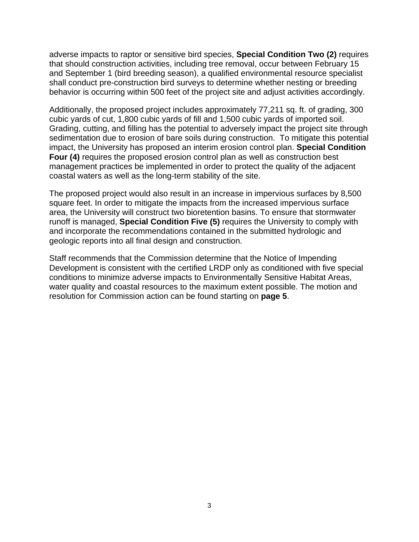adverse impacts to raptor or sensitive bird species, **Special Condition Two (2)** requires that should construction activities, including tree removal, occur between February 15 and September 1 (bird breeding season), a qualified environmental resource specialist shall conduct pre-construction bird surveys to determine whether nesting or breeding behavior is occurring within 500 feet of the project site and adjust activities accordingly.

Additionally, the proposed project includes approximately 77,211 sq. ft. of grading, 300 cubic yards of cut, 1,800 cubic yards of fill and 1,500 cubic yards of imported soil. Grading, cutting, and filling has the potential to adversely impact the project site through sedimentation due to erosion of bare soils during construction. To mitigate this potential impact, the University has proposed an interim erosion control plan. **Special Condition Four (4)** requires the proposed erosion control plan as well as construction best management practices be implemented in order to protect the quality of the adjacent coastal waters as well as the long-term stability of the site.

The proposed project would also result in an increase in impervious surfaces by 8,500 square feet. In order to mitigate the impacts from the increased impervious surface area, the University will construct two bioretention basins. To ensure that stormwater runoff is managed, **Special Condition Five (5)** requires the University to comply with and incorporate the recommendations contained in the submitted hydrologic and geologic reports into all final design and construction.

Staff recommends that the Commission determine that the Notice of Impending Development is consistent with the certified LRDP only as conditioned with five special conditions to minimize adverse impacts to Environmentally Sensitive Habitat Areas, water quality and coastal resources to the maximum extent possible. The motion and resolution for Commission action can be found starting on **page 5**.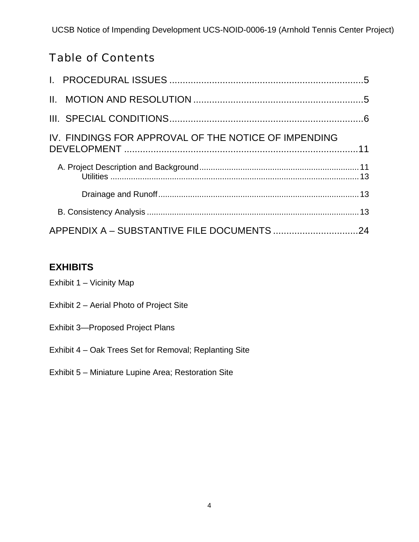# Table of Contents

| IV. FINDINGS FOR APPROVAL OF THE NOTICE OF IMPENDING |  |
|------------------------------------------------------|--|
|                                                      |  |
|                                                      |  |
|                                                      |  |
|                                                      |  |

# **EXHIBITS**

| Exhibit 1 - Vicinity Map                               |
|--------------------------------------------------------|
| Exhibit 2 – Aerial Photo of Project Site               |
| <b>Exhibit 3-Proposed Project Plans</b>                |
| Exhibit 4 – Oak Trees Set for Removal; Replanting Site |
| Exhibit 5 – Miniature Lupine Area; Restoration Site    |
|                                                        |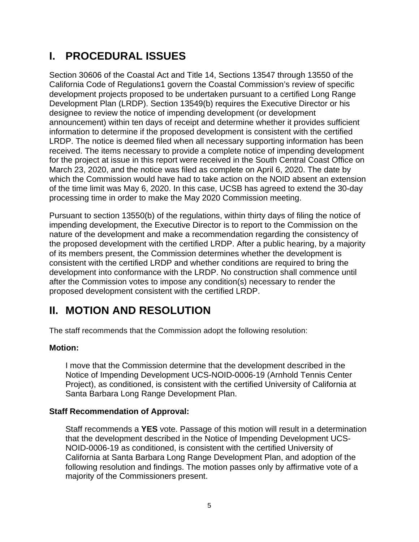# **I. PROCEDURAL ISSUES**

Section 30606 of the Coastal Act and Title 14, Sections 13547 through 13550 of the California Code of Regulations1 govern the Coastal Commission's review of specific development projects proposed to be undertaken pursuant to a certified Long Range Development Plan (LRDP). Section 13549(b) requires the Executive Director or his designee to review the notice of impending development (or development announcement) within ten days of receipt and determine whether it provides sufficient information to determine if the proposed development is consistent with the certified LRDP. The notice is deemed filed when all necessary supporting information has been received. The items necessary to provide a complete notice of impending development for the project at issue in this report were received in the South Central Coast Office on March 23, 2020, and the notice was filed as complete on April 6, 2020. The date by which the Commission would have had to take action on the NOID absent an extension of the time limit was May 6, 2020. In this case, UCSB has agreed to extend the 30-day processing time in order to make the May 2020 Commission meeting.

Pursuant to section 13550(b) of the regulations, within thirty days of filing the notice of impending development, the Executive Director is to report to the Commission on the nature of the development and make a recommendation regarding the consistency of the proposed development with the certified LRDP. After a public hearing, by a majority of its members present, the Commission determines whether the development is consistent with the certified LRDP and whether conditions are required to bring the development into conformance with the LRDP. No construction shall commence until after the Commission votes to impose any condition(s) necessary to render the proposed development consistent with the certified LRDP.

# **II. MOTION AND RESOLUTION**

The staff recommends that the Commission adopt the following resolution:

## **Motion:**

I move that the Commission determine that the development described in the Notice of Impending Development UCS-NOID-0006-19 (Arnhold Tennis Center Project), as conditioned, is consistent with the certified University of California at Santa Barbara Long Range Development Plan.

## **Staff Recommendation of Approval:**

Staff recommends a **YES** vote. Passage of this motion will result in a determination that the development described in the Notice of Impending Development UCS-NOID-0006-19 as conditioned, is consistent with the certified University of California at Santa Barbara Long Range Development Plan, and adoption of the following resolution and findings. The motion passes only by affirmative vote of a majority of the Commissioners present.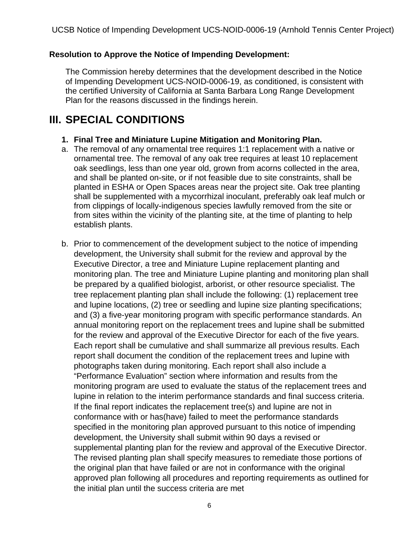#### **Resolution to Approve the Notice of Impending Development:**

The Commission hereby determines that the development described in the Notice of Impending Development UCS-NOID-0006-19, as conditioned, is consistent with the certified University of California at Santa Barbara Long Range Development Plan for the reasons discussed in the findings herein.

# **III. SPECIAL CONDITIONS**

#### **1. Final Tree and Miniature Lupine Mitigation and Monitoring Plan.**

- a. The removal of any ornamental tree requires 1:1 replacement with a native or ornamental tree. The removal of any oak tree requires at least 10 replacement oak seedlings, less than one year old, grown from acorns collected in the area, and shall be planted on-site, or if not feasible due to site constraints, shall be planted in ESHA or Open Spaces areas near the project site. Oak tree planting shall be supplemented with a mycorrhizal inoculant, preferably oak leaf mulch or from clippings of locally-indigenous species lawfully removed from the site or from sites within the vicinity of the planting site, at the time of planting to help establish plants.
- b. Prior to commencement of the development subject to the notice of impending development, the University shall submit for the review and approval by the Executive Director, a tree and Miniature Lupine replacement planting and monitoring plan. The tree and Miniature Lupine planting and monitoring plan shall be prepared by a qualified biologist, arborist, or other resource specialist. The tree replacement planting plan shall include the following: (1) replacement tree and lupine locations, (2) tree or seedling and lupine size planting specifications; and (3) a five-year monitoring program with specific performance standards. An annual monitoring report on the replacement trees and lupine shall be submitted for the review and approval of the Executive Director for each of the five years. Each report shall be cumulative and shall summarize all previous results. Each report shall document the condition of the replacement trees and lupine with photographs taken during monitoring. Each report shall also include a "Performance Evaluation" section where information and results from the monitoring program are used to evaluate the status of the replacement trees and lupine in relation to the interim performance standards and final success criteria. If the final report indicates the replacement tree(s) and lupine are not in conformance with or has(have) failed to meet the performance standards specified in the monitoring plan approved pursuant to this notice of impending development, the University shall submit within 90 days a revised or supplemental planting plan for the review and approval of the Executive Director. The revised planting plan shall specify measures to remediate those portions of the original plan that have failed or are not in conformance with the original approved plan following all procedures and reporting requirements as outlined for the initial plan until the success criteria are met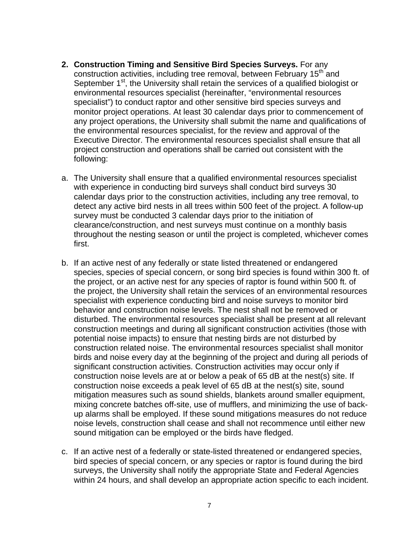- **2. Construction Timing and Sensitive Bird Species Surveys.** For any construction activities, including tree removal, between February 15<sup>th</sup> and September 1<sup>st</sup>, the University shall retain the services of a qualified biologist or environmental resources specialist (hereinafter, "environmental resources specialist") to conduct raptor and other sensitive bird species surveys and monitor project operations. At least 30 calendar days prior to commencement of any project operations, the University shall submit the name and qualifications of the environmental resources specialist, for the review and approval of the Executive Director. The environmental resources specialist shall ensure that all project construction and operations shall be carried out consistent with the following:
- a. The University shall ensure that a qualified environmental resources specialist with experience in conducting bird surveys shall conduct bird surveys 30 calendar days prior to the construction activities, including any tree removal, to detect any active bird nests in all trees within 500 feet of the project. A follow-up survey must be conducted 3 calendar days prior to the initiation of clearance/construction, and nest surveys must continue on a monthly basis throughout the nesting season or until the project is completed, whichever comes first.
- b. If an active nest of any federally or state listed threatened or endangered species, species of special concern, or song bird species is found within 300 ft. of the project, or an active nest for any species of raptor is found within 500 ft. of the project, the University shall retain the services of an environmental resources specialist with experience conducting bird and noise surveys to monitor bird behavior and construction noise levels. The nest shall not be removed or disturbed. The environmental resources specialist shall be present at all relevant construction meetings and during all significant construction activities (those with potential noise impacts) to ensure that nesting birds are not disturbed by construction related noise. The environmental resources specialist shall monitor birds and noise every day at the beginning of the project and during all periods of significant construction activities. Construction activities may occur only if construction noise levels are at or below a peak of 65 dB at the nest(s) site. If construction noise exceeds a peak level of 65 dB at the nest(s) site, sound mitigation measures such as sound shields, blankets around smaller equipment, mixing concrete batches off-site, use of mufflers, and minimizing the use of backup alarms shall be employed. If these sound mitigations measures do not reduce noise levels, construction shall cease and shall not recommence until either new sound mitigation can be employed or the birds have fledged.
- c. If an active nest of a federally or state-listed threatened or endangered species, bird species of special concern, or any species or raptor is found during the bird surveys, the University shall notify the appropriate State and Federal Agencies within 24 hours, and shall develop an appropriate action specific to each incident.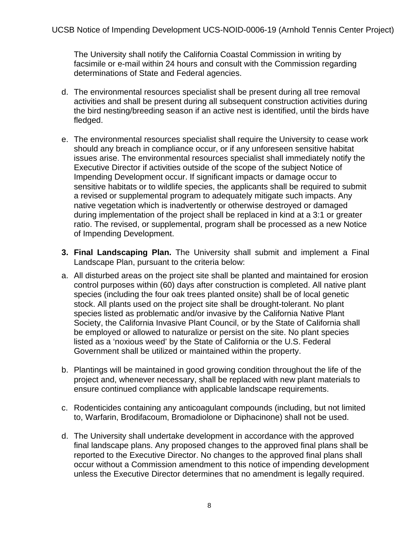The University shall notify the California Coastal Commission in writing by facsimile or e-mail within 24 hours and consult with the Commission regarding determinations of State and Federal agencies.

- d. The environmental resources specialist shall be present during all tree removal activities and shall be present during all subsequent construction activities during the bird nesting/breeding season if an active nest is identified, until the birds have fledged.
- e. The environmental resources specialist shall require the University to cease work should any breach in compliance occur, or if any unforeseen sensitive habitat issues arise. The environmental resources specialist shall immediately notify the Executive Director if activities outside of the scope of the subject Notice of Impending Development occur. If significant impacts or damage occur to sensitive habitats or to wildlife species, the applicants shall be required to submit a revised or supplemental program to adequately mitigate such impacts. Any native vegetation which is inadvertently or otherwise destroyed or damaged during implementation of the project shall be replaced in kind at a 3:1 or greater ratio. The revised, or supplemental, program shall be processed as a new Notice of Impending Development.
- **3. Final Landscaping Plan.** The University shall submit and implement a Final Landscape Plan, pursuant to the criteria below:
- a. All disturbed areas on the project site shall be planted and maintained for erosion control purposes within (60) days after construction is completed. All native plant species (including the four oak trees planted onsite) shall be of local genetic stock. All plants used on the project site shall be drought-tolerant. No plant species listed as problematic and/or invasive by the California Native Plant Society, the California Invasive Plant Council, or by the State of California shall be employed or allowed to naturalize or persist on the site. No plant species listed as a 'noxious weed' by the State of California or the U.S. Federal Government shall be utilized or maintained within the property.
- b. Plantings will be maintained in good growing condition throughout the life of the project and, whenever necessary, shall be replaced with new plant materials to ensure continued compliance with applicable landscape requirements.
- c. Rodenticides containing any anticoagulant compounds (including, but not limited to, Warfarin, Brodifacoum, Bromadiolone or Diphacinone) shall not be used.
- d. The University shall undertake development in accordance with the approved final landscape plans. Any proposed changes to the approved final plans shall be reported to the Executive Director. No changes to the approved final plans shall occur without a Commission amendment to this notice of impending development unless the Executive Director determines that no amendment is legally required.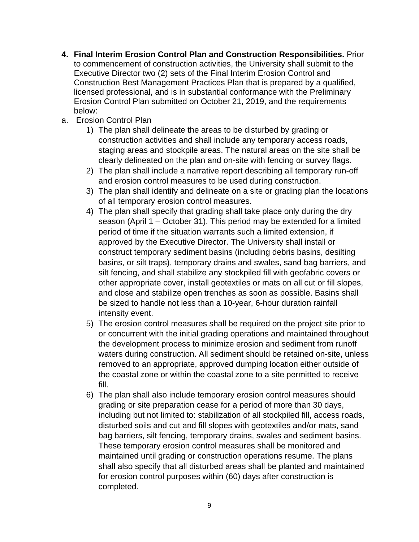- **4. Final Interim Erosion Control Plan and Construction Responsibilities.** Prior to commencement of construction activities, the University shall submit to the Executive Director two (2) sets of the Final Interim Erosion Control and Construction Best Management Practices Plan that is prepared by a qualified, licensed professional, and is in substantial conformance with the Preliminary Erosion Control Plan submitted on October 21, 2019, and the requirements below:
- a. Erosion Control Plan
	- 1) The plan shall delineate the areas to be disturbed by grading or construction activities and shall include any temporary access roads, staging areas and stockpile areas. The natural areas on the site shall be clearly delineated on the plan and on-site with fencing or survey flags.
	- 2) The plan shall include a narrative report describing all temporary run-off and erosion control measures to be used during construction.
	- 3) The plan shall identify and delineate on a site or grading plan the locations of all temporary erosion control measures.
	- 4) The plan shall specify that grading shall take place only during the dry season (April 1 – October 31). This period may be extended for a limited period of time if the situation warrants such a limited extension, if approved by the Executive Director. The University shall install or construct temporary sediment basins (including debris basins, desilting basins, or silt traps), temporary drains and swales, sand bag barriers, and silt fencing, and shall stabilize any stockpiled fill with geofabric covers or other appropriate cover, install geotextiles or mats on all cut or fill slopes, and close and stabilize open trenches as soon as possible. Basins shall be sized to handle not less than a 10-year, 6-hour duration rainfall intensity event.
	- 5) The erosion control measures shall be required on the project site prior to or concurrent with the initial grading operations and maintained throughout the development process to minimize erosion and sediment from runoff waters during construction. All sediment should be retained on-site, unless removed to an appropriate, approved dumping location either outside of the coastal zone or within the coastal zone to a site permitted to receive fill.
	- 6) The plan shall also include temporary erosion control measures should grading or site preparation cease for a period of more than 30 days, including but not limited to: stabilization of all stockpiled fill, access roads, disturbed soils and cut and fill slopes with geotextiles and/or mats, sand bag barriers, silt fencing, temporary drains, swales and sediment basins. These temporary erosion control measures shall be monitored and maintained until grading or construction operations resume. The plans shall also specify that all disturbed areas shall be planted and maintained for erosion control purposes within (60) days after construction is completed.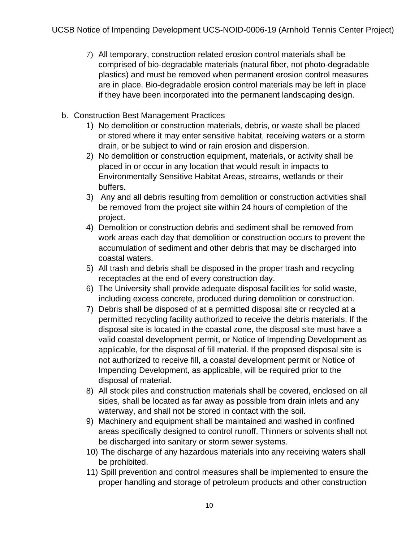- 7) All temporary, construction related erosion control materials shall be comprised of bio-degradable materials (natural fiber, not photo-degradable plastics) and must be removed when permanent erosion control measures are in place. Bio-degradable erosion control materials may be left in place if they have been incorporated into the permanent landscaping design.
- b. Construction Best Management Practices
	- 1) No demolition or construction materials, debris, or waste shall be placed or stored where it may enter sensitive habitat, receiving waters or a storm drain, or be subject to wind or rain erosion and dispersion.
	- 2) No demolition or construction equipment, materials, or activity shall be placed in or occur in any location that would result in impacts to Environmentally Sensitive Habitat Areas, streams, wetlands or their buffers.
	- 3) Any and all debris resulting from demolition or construction activities shall be removed from the project site within 24 hours of completion of the project.
	- 4) Demolition or construction debris and sediment shall be removed from work areas each day that demolition or construction occurs to prevent the accumulation of sediment and other debris that may be discharged into coastal waters.
	- 5) All trash and debris shall be disposed in the proper trash and recycling receptacles at the end of every construction day.
	- 6) The University shall provide adequate disposal facilities for solid waste, including excess concrete, produced during demolition or construction.
	- 7) Debris shall be disposed of at a permitted disposal site or recycled at a permitted recycling facility authorized to receive the debris materials. If the disposal site is located in the coastal zone, the disposal site must have a valid coastal development permit, or Notice of Impending Development as applicable, for the disposal of fill material. If the proposed disposal site is not authorized to receive fill, a coastal development permit or Notice of Impending Development, as applicable, will be required prior to the disposal of material.
	- 8) All stock piles and construction materials shall be covered, enclosed on all sides, shall be located as far away as possible from drain inlets and any waterway, and shall not be stored in contact with the soil.
	- 9) Machinery and equipment shall be maintained and washed in confined areas specifically designed to control runoff. Thinners or solvents shall not be discharged into sanitary or storm sewer systems.
	- 10) The discharge of any hazardous materials into any receiving waters shall be prohibited.
	- 11) Spill prevention and control measures shall be implemented to ensure the proper handling and storage of petroleum products and other construction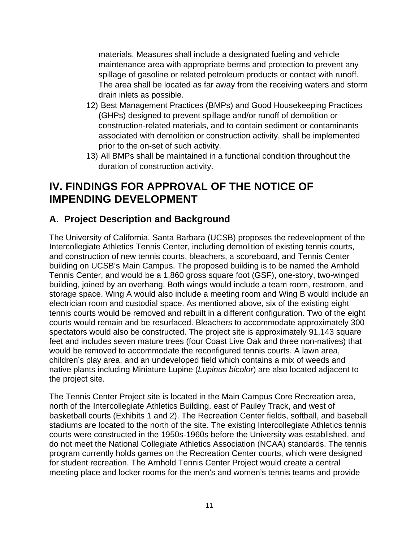materials. Measures shall include a designated fueling and vehicle maintenance area with appropriate berms and protection to prevent any spillage of gasoline or related petroleum products or contact with runoff. The area shall be located as far away from the receiving waters and storm drain inlets as possible.

- 12) Best Management Practices (BMPs) and Good Housekeeping Practices (GHPs) designed to prevent spillage and/or runoff of demolition or construction-related materials, and to contain sediment or contaminants associated with demolition or construction activity, shall be implemented prior to the on-set of such activity.
- 13) All BMPs shall be maintained in a functional condition throughout the duration of construction activity.

# **IV. FINDINGS FOR APPROVAL OF THE NOTICE OF IMPENDING DEVELOPMENT**

# **A. Project Description and Background**

The University of California, Santa Barbara (UCSB) proposes the redevelopment of the Intercollegiate Athletics Tennis Center, including demolition of existing tennis courts, and construction of new tennis courts, bleachers, a scoreboard, and Tennis Center building on UCSB's Main Campus. The proposed building is to be named the Arnhold Tennis Center, and would be a 1,860 gross square foot (GSF), one-story, two-winged building, joined by an overhang. Both wings would include a team room, restroom, and storage space. Wing A would also include a meeting room and Wing B would include an electrician room and custodial space. As mentioned above, six of the existing eight tennis courts would be removed and rebuilt in a different configuration. Two of the eight courts would remain and be resurfaced. Bleachers to accommodate approximately 300 spectators would also be constructed. The project site is approximately 91,143 square feet and includes seven mature trees (four Coast Live Oak and three non-natives) that would be removed to accommodate the reconfigured tennis courts. A lawn area, children's play area, and an undeveloped field which contains a mix of weeds and native plants including Miniature Lupine (*Lupinus bicolor*) are also located adjacent to the project site.

The Tennis Center Project site is located in the Main Campus Core Recreation area, north of the Intercollegiate Athletics Building, east of Pauley Track, and west of basketball courts (Exhibits 1 and 2). The Recreation Center fields, softball, and baseball stadiums are located to the north of the site. The existing Intercollegiate Athletics tennis courts were constructed in the 1950s-1960s before the University was established, and do not meet the National Collegiate Athletics Association (NCAA) standards. The tennis program currently holds games on the Recreation Center courts, which were designed for student recreation. The Arnhold Tennis Center Project would create a central meeting place and locker rooms for the men's and women's tennis teams and provide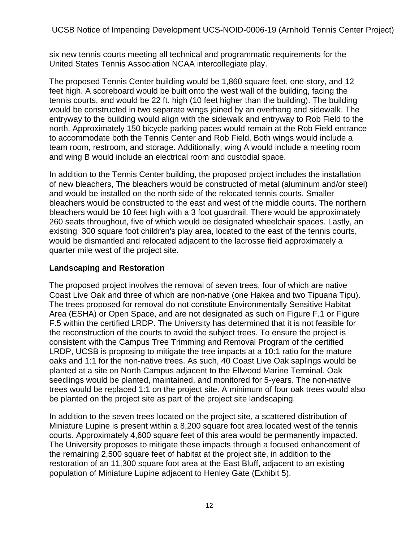six new tennis courts meeting all technical and programmatic requirements for the United States Tennis Association NCAA intercollegiate play.

The proposed Tennis Center building would be 1,860 square feet, one-story, and 12 feet high. A scoreboard would be built onto the west wall of the building, facing the tennis courts, and would be 22 ft. high (10 feet higher than the building). The building would be constructed in two separate wings joined by an overhang and sidewalk. The entryway to the building would align with the sidewalk and entryway to Rob Field to the north. Approximately 150 bicycle parking paces would remain at the Rob Field entrance to accommodate both the Tennis Center and Rob Field. Both wings would include a team room, restroom, and storage. Additionally, wing A would include a meeting room and wing B would include an electrical room and custodial space.

In addition to the Tennis Center building, the proposed project includes the installation of new bleachers, The bleachers would be constructed of metal (aluminum and/or steel) and would be installed on the north side of the relocated tennis courts. Smaller bleachers would be constructed to the east and west of the middle courts. The northern bleachers would be 10 feet high with a 3 foot guardrail. There would be approximately 260 seats throughout, five of which would be designated wheelchair spaces. Lastly, an existing 300 square foot children's play area, located to the east of the tennis courts, would be dismantled and relocated adjacent to the lacrosse field approximately a quarter mile west of the project site.

#### **Landscaping and Restoration**

The proposed project involves the removal of seven trees, four of which are native Coast Live Oak and three of which are non-native (one Hakea and two Tipuana Tipu). The trees proposed for removal do not constitute Environmentally Sensitive Habitat Area (ESHA) or Open Space, and are not designated as such on Figure F.1 or Figure F.5 within the certified LRDP. The University has determined that it is not feasible for the reconstruction of the courts to avoid the subject trees. To ensure the project is consistent with the Campus Tree Trimming and Removal Program of the certified LRDP, UCSB is proposing to mitigate the tree impacts at a 10:1 ratio for the mature oaks and 1:1 for the non-native trees. As such, 40 Coast Live Oak saplings would be planted at a site on North Campus adjacent to the Ellwood Marine Terminal. Oak seedlings would be planted, maintained, and monitored for 5-years. The non-native trees would be replaced 1:1 on the project site. A minimum of four oak trees would also be planted on the project site as part of the project site landscaping.

In addition to the seven trees located on the project site, a scattered distribution of Miniature Lupine is present within a 8,200 square foot area located west of the tennis courts. Approximately 4,600 square feet of this area would be permanently impacted. The University proposes to mitigate these impacts through a focused enhancement of the remaining 2,500 square feet of habitat at the project site, in addition to the restoration of an 11,300 square foot area at the East Bluff, adjacent to an existing population of Miniature Lupine adjacent to Henley Gate (Exhibit 5).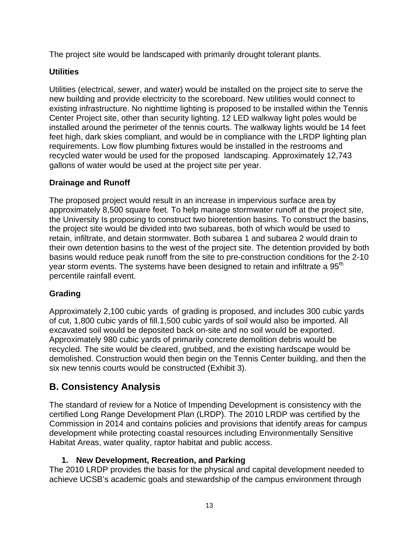The project site would be landscaped with primarily drought tolerant plants.

## **Utilities**

Utilities (electrical, sewer, and water) would be installed on the project site to serve the new building and provide electricity to the scoreboard. New utilities would connect to existing infrastructure. No nighttime lighting is proposed to be installed within the Tennis Center Project site, other than security lighting. 12 LED walkway light poles would be installed around the perimeter of the tennis courts. The walkway lights would be 14 feet feet high, dark skies compliant, and would be in compliance with the LRDP lighting plan requirements. Low flow plumbing fixtures would be installed in the restrooms and recycled water would be used for the proposed landscaping. Approximately 12,743 gallons of water would be used at the project site per year.

## **Drainage and Runoff**

The proposed project would result in an increase in impervious surface area by approximately 8,500 square feet. To help manage stormwater runoff at the project site, the University Is proposing to construct two bioretention basins. To construct the basins, the project site would be divided into two subareas, both of which would be used to retain, infiltrate, and detain stormwater. Both subarea 1 and subarea 2 would drain to their own detention basins to the west of the project site. The detention provided by both basins would reduce peak runoff from the site to pre-construction conditions for the 2-10 year storm events. The systems have been designed to retain and infiltrate a 95<sup>th</sup> percentile rainfall event.

## **Grading**

Approximately 2,100 cubic yards of grading is proposed, and includes 300 cubic yards of cut, 1,800 cubic yards of fill.1,500 cubic yards of soil would also be imported. All excavated soil would be deposited back on-site and no soil would be exported. Approximately 980 cubic yards of primarily concrete demolition debris would be recycled. The site would be cleared, grubbed, and the existing hardscape would be demolished. Construction would then begin on the Tennis Center building, and then the six new tennis courts would be constructed (Exhibit 3).

# **B. Consistency Analysis**

The standard of review for a Notice of Impending Development is consistency with the certified Long Range Development Plan (LRDP). The 2010 LRDP was certified by the Commission in 2014 and contains policies and provisions that identify areas for campus development while protecting coastal resources including Environmentally Sensitive Habitat Areas, water quality, raptor habitat and public access.

## **1. New Development, Recreation, and Parking**

The 2010 LRDP provides the basis for the physical and capital development needed to achieve UCSB's academic goals and stewardship of the campus environment through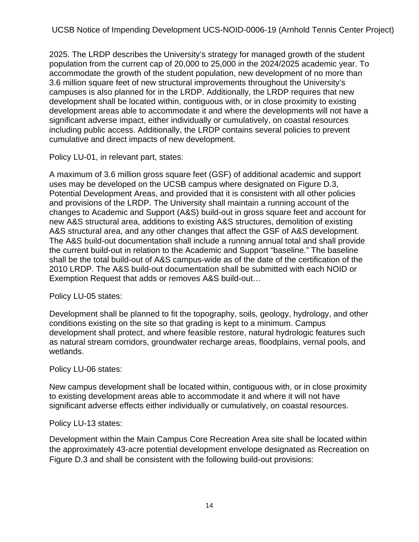UCSB Notice of Impending Development UCS-NOID-0006-19 (Arnhold Tennis Center Project)

2025. The LRDP describes the University's strategy for managed growth of the student population from the current cap of 20,000 to 25,000 in the 2024/2025 academic year. To accommodate the growth of the student population, new development of no more than 3.6 million square feet of new structural improvements throughout the University's campuses is also planned for in the LRDP. Additionally, the LRDP requires that new development shall be located within, contiguous with, or in close proximity to existing development areas able to accommodate it and where the developments will not have a significant adverse impact, either individually or cumulatively, on coastal resources including public access. Additionally, the LRDP contains several policies to prevent cumulative and direct impacts of new development.

Policy LU-01, in relevant part, states:

A maximum of 3.6 million gross square feet (GSF) of additional academic and support uses may be developed on the UCSB campus where designated on Figure D.3, Potential Development Areas, and provided that it is consistent with all other policies and provisions of the LRDP. The University shall maintain a running account of the changes to Academic and Support (A&S) build-out in gross square feet and account for new A&S structural area, additions to existing A&S structures, demolition of existing A&S structural area, and any other changes that affect the GSF of A&S development. The A&S build-out documentation shall include a running annual total and shall provide the current build-out in relation to the Academic and Support "baseline." The baseline shall be the total build-out of A&S campus-wide as of the date of the certification of the 2010 LRDP. The A&S build-out documentation shall be submitted with each NOID or Exemption Request that adds or removes A&S build-out…

## Policy LU-05 states:

Development shall be planned to fit the topography, soils, geology, hydrology, and other conditions existing on the site so that grading is kept to a minimum. Campus development shall protect, and where feasible restore, natural hydrologic features such as natural stream corridors, groundwater recharge areas, floodplains, vernal pools, and wetlands.

## Policy LU-06 states:

New campus development shall be located within, contiguous with, or in close proximity to existing development areas able to accommodate it and where it will not have significant adverse effects either individually or cumulatively, on coastal resources.

#### Policy LU-13 states:

Development within the Main Campus Core Recreation Area site shall be located within the approximately 43-acre potential development envelope designated as Recreation on Figure D.3 and shall be consistent with the following build-out provisions: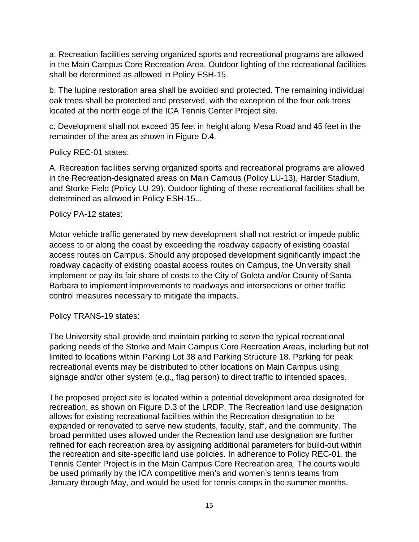a. Recreation facilities serving organized sports and recreational programs are allowed in the Main Campus Core Recreation Area. Outdoor lighting of the recreational facilities shall be determined as allowed in Policy ESH-15.

b. The lupine restoration area shall be avoided and protected. The remaining individual oak trees shall be protected and preserved, with the exception of the four oak trees located at the north edge of the ICA Tennis Center Project site.

c. Development shall not exceed 35 feet in height along Mesa Road and 45 feet in the remainder of the area as shown in Figure D.4.

Policy REC-01 states:

A. Recreation facilities serving organized sports and recreational programs are allowed in the Recreation-designated areas on Main Campus (Policy LU-13), Harder Stadium, and Storke Field (Policy LU-29). Outdoor lighting of these recreational facilities shall be determined as allowed in Policy ESH-15...

Policy PA-12 states:

Motor vehicle traffic generated by new development shall not restrict or impede public access to or along the coast by exceeding the roadway capacity of existing coastal access routes on Campus. Should any proposed development significantly impact the roadway capacity of existing coastal access routes on Campus, the University shall implement or pay its fair share of costs to the City of Goleta and/or County of Santa Barbara to implement improvements to roadways and intersections or other traffic control measures necessary to mitigate the impacts.

Policy TRANS-19 states:

The University shall provide and maintain parking to serve the typical recreational parking needs of the Storke and Main Campus Core Recreation Areas, including but not limited to locations within Parking Lot 38 and Parking Structure 18. Parking for peak recreational events may be distributed to other locations on Main Campus using signage and/or other system (e.g., flag person) to direct traffic to intended spaces.

The proposed project site is located within a potential development area designated for recreation, as shown on Figure D.3 of the LRDP. The Recreation land use designation allows for existing recreational facilities within the Recreation designation to be expanded or renovated to serve new students, faculty, staff, and the community. The broad permitted uses allowed under the Recreation land use designation are further refined for each recreation area by assigning additional parameters for build-out within the recreation and site-specific land use policies. In adherence to Policy REC-01, the Tennis Center Project is in the Main Campus Core Recreation area. The courts would be used primarily by the ICA competitive men's and women's tennis teams from January through May, and would be used for tennis camps in the summer months.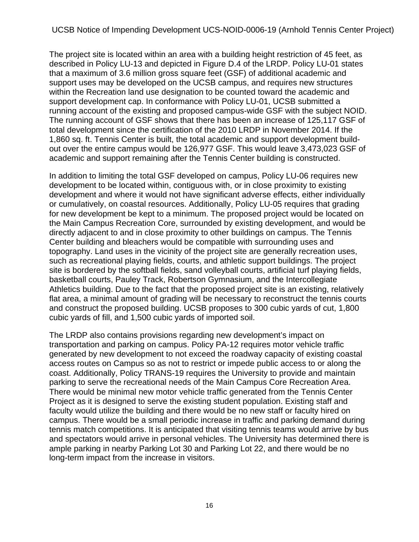The project site is located within an area with a building height restriction of 45 feet, as described in Policy LU-13 and depicted in Figure D.4 of the LRDP. Policy LU-01 states that a maximum of 3.6 million gross square feet (GSF) of additional academic and support uses may be developed on the UCSB campus, and requires new structures within the Recreation land use designation to be counted toward the academic and support development cap. In conformance with Policy LU-01, UCSB submitted a running account of the existing and proposed campus-wide GSF with the subject NOID. The running account of GSF shows that there has been an increase of 125,117 GSF of total development since the certification of the 2010 LRDP in November 2014. If the 1,860 sq. ft. Tennis Center is built, the total academic and support development buildout over the entire campus would be 126,977 GSF. This would leave 3,473,023 GSF of academic and support remaining after the Tennis Center building is constructed.

In addition to limiting the total GSF developed on campus, Policy LU-06 requires new development to be located within, contiguous with, or in close proximity to existing development and where it would not have significant adverse effects, either individually or cumulatively, on coastal resources. Additionally, Policy LU-05 requires that grading for new development be kept to a minimum. The proposed project would be located on the Main Campus Recreation Core, surrounded by existing development, and would be directly adjacent to and in close proximity to other buildings on campus. The Tennis Center building and bleachers would be compatible with surrounding uses and topography. Land uses in the vicinity of the project site are generally recreation uses, such as recreational playing fields, courts, and athletic support buildings. The project site is bordered by the softball fields, sand volleyball courts, artificial turf playing fields, basketball courts, Pauley Track, Robertson Gymnasium, and the Intercollegiate Athletics building. Due to the fact that the proposed project site is an existing, relatively flat area, a minimal amount of grading will be necessary to reconstruct the tennis courts and construct the proposed building. UCSB proposes to 300 cubic yards of cut, 1,800 cubic yards of fill, and 1,500 cubic yards of imported soil.

The LRDP also contains provisions regarding new development's impact on transportation and parking on campus. Policy PA-12 requires motor vehicle traffic generated by new development to not exceed the roadway capacity of existing coastal access routes on Campus so as not to restrict or impede public access to or along the coast. Additionally, Policy TRANS-19 requires the University to provide and maintain parking to serve the recreational needs of the Main Campus Core Recreation Area. There would be minimal new motor vehicle traffic generated from the Tennis Center Project as it is designed to serve the existing student population. Existing staff and faculty would utilize the building and there would be no new staff or faculty hired on campus. There would be a small periodic increase in traffic and parking demand during tennis match competitions. It is anticipated that visiting tennis teams would arrive by bus and spectators would arrive in personal vehicles. The University has determined there is ample parking in nearby Parking Lot 30 and Parking Lot 22, and there would be no long-term impact from the increase in visitors.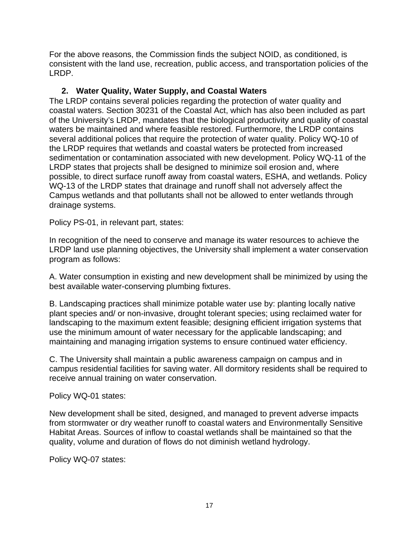For the above reasons, the Commission finds the subject NOID, as conditioned, is consistent with the land use, recreation, public access, and transportation policies of the LRDP.

## **2. Water Quality, Water Supply, and Coastal Waters**

The LRDP contains several policies regarding the protection of water quality and coastal waters. Section 30231 of the Coastal Act, which has also been included as part of the University's LRDP, mandates that the biological productivity and quality of coastal waters be maintained and where feasible restored. Furthermore, the LRDP contains several additional polices that require the protection of water quality. Policy WQ-10 of the LRDP requires that wetlands and coastal waters be protected from increased sedimentation or contamination associated with new development. Policy WQ-11 of the LRDP states that projects shall be designed to minimize soil erosion and, where possible, to direct surface runoff away from coastal waters, ESHA, and wetlands. Policy WQ-13 of the LRDP states that drainage and runoff shall not adversely affect the Campus wetlands and that pollutants shall not be allowed to enter wetlands through drainage systems.

Policy PS-01, in relevant part, states:

In recognition of the need to conserve and manage its water resources to achieve the LRDP land use planning objectives, the University shall implement a water conservation program as follows:

A. Water consumption in existing and new development shall be minimized by using the best available water-conserving plumbing fixtures.

B. Landscaping practices shall minimize potable water use by: planting locally native plant species and/ or non-invasive, drought tolerant species; using reclaimed water for landscaping to the maximum extent feasible; designing efficient irrigation systems that use the minimum amount of water necessary for the applicable landscaping; and maintaining and managing irrigation systems to ensure continued water efficiency.

C. The University shall maintain a public awareness campaign on campus and in campus residential facilities for saving water. All dormitory residents shall be required to receive annual training on water conservation.

Policy WQ-01 states:

New development shall be sited, designed, and managed to prevent adverse impacts from stormwater or dry weather runoff to coastal waters and Environmentally Sensitive Habitat Areas. Sources of inflow to coastal wetlands shall be maintained so that the quality, volume and duration of flows do not diminish wetland hydrology.

Policy WQ-07 states: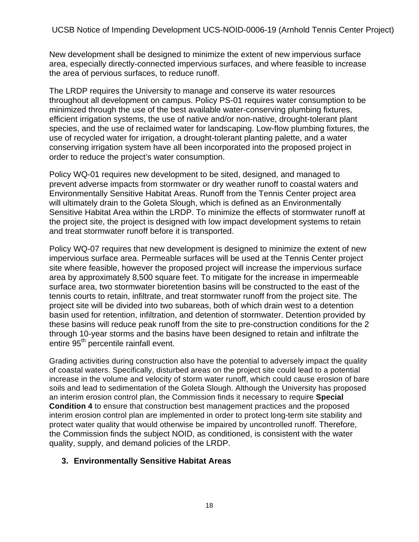New development shall be designed to minimize the extent of new impervious surface area, especially directly-connected impervious surfaces, and where feasible to increase the area of pervious surfaces, to reduce runoff.

The LRDP requires the University to manage and conserve its water resources throughout all development on campus. Policy PS-01 requires water consumption to be minimized through the use of the best available water-conserving plumbing fixtures, efficient irrigation systems, the use of native and/or non-native, drought-tolerant plant species, and the use of reclaimed water for landscaping. Low-flow plumbing fixtures, the use of recycled water for irrigation, a drought-tolerant planting palette, and a water conserving irrigation system have all been incorporated into the proposed project in order to reduce the project's water consumption.

Policy WQ-01 requires new development to be sited, designed, and managed to prevent adverse impacts from stormwater or dry weather runoff to coastal waters and Environmentally Sensitive Habitat Areas. Runoff from the Tennis Center project area will ultimately drain to the Goleta Slough, which is defined as an Environmentally Sensitive Habitat Area within the LRDP. To minimize the effects of stormwater runoff at the project site, the project is designed with low impact development systems to retain and treat stormwater runoff before it is transported.

Policy WQ-07 requires that new development is designed to minimize the extent of new impervious surface area. Permeable surfaces will be used at the Tennis Center project site where feasible, however the proposed project will increase the impervious surface area by approximately 8,500 square feet. To mitigate for the increase in impermeable surface area, two stormwater bioretention basins will be constructed to the east of the tennis courts to retain, infiltrate, and treat stormwater runoff from the project site. The project site will be divided into two subareas, both of which drain west to a detention basin used for retention, infiltration, and detention of stormwater. Detention provided by these basins will reduce peak runoff from the site to pre-construction conditions for the 2 through 10-year storms and the basins have been designed to retain and infiltrate the entire 95<sup>th</sup> percentile rainfall event.

Grading activities during construction also have the potential to adversely impact the quality of coastal waters. Specifically, disturbed areas on the project site could lead to a potential increase in the volume and velocity of storm water runoff, which could cause erosion of bare soils and lead to sedimentation of the Goleta Slough. Although the University has proposed an interim erosion control plan, the Commission finds it necessary to require **Special Condition 4** to ensure that construction best management practices and the proposed interim erosion control plan are implemented in order to protect long-term site stability and protect water quality that would otherwise be impaired by uncontrolled runoff. Therefore, the Commission finds the subject NOID, as conditioned, is consistent with the water quality, supply, and demand policies of the LRDP.

## **3. Environmentally Sensitive Habitat Areas**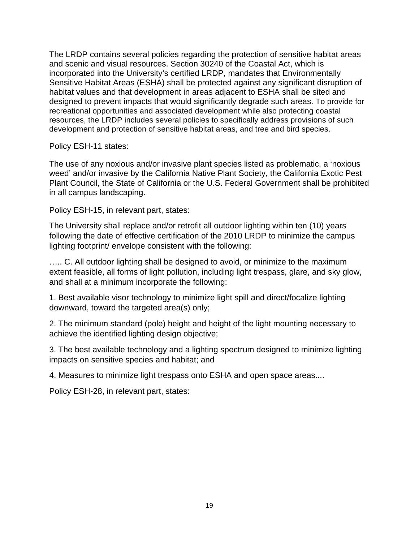The LRDP contains several policies regarding the protection of sensitive habitat areas and scenic and visual resources. Section 30240 of the Coastal Act, which is incorporated into the University's certified LRDP, mandates that Environmentally Sensitive Habitat Areas (ESHA) shall be protected against any significant disruption of habitat values and that development in areas adjacent to ESHA shall be sited and designed to prevent impacts that would significantly degrade such areas. To provide for recreational opportunities and associated development while also protecting coastal resources, the LRDP includes several policies to specifically address provisions of such development and protection of sensitive habitat areas, and tree and bird species.

Policy ESH-11 states:

The use of any noxious and/or invasive plant species listed as problematic, a 'noxious weed' and/or invasive by the California Native Plant Society, the California Exotic Pest Plant Council, the State of California or the U.S. Federal Government shall be prohibited in all campus landscaping.

Policy ESH-15, in relevant part, states:

The University shall replace and/or retrofit all outdoor lighting within ten (10) years following the date of effective certification of the 2010 LRDP to minimize the campus lighting footprint/ envelope consistent with the following:

….. C. All outdoor lighting shall be designed to avoid, or minimize to the maximum extent feasible, all forms of light pollution, including light trespass, glare, and sky glow, and shall at a minimum incorporate the following:

1. Best available visor technology to minimize light spill and direct/focalize lighting downward, toward the targeted area(s) only;

2. The minimum standard (pole) height and height of the light mounting necessary to achieve the identified lighting design objective;

3. The best available technology and a lighting spectrum designed to minimize lighting impacts on sensitive species and habitat; and

4. Measures to minimize light trespass onto ESHA and open space areas....

Policy ESH-28, in relevant part, states: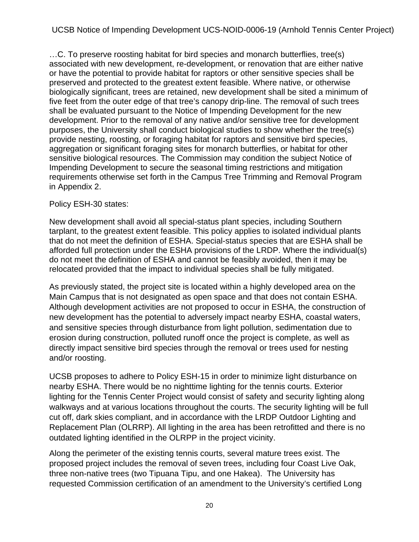…C. To preserve roosting habitat for bird species and monarch butterflies, tree(s) associated with new development, re-development, or renovation that are either native or have the potential to provide habitat for raptors or other sensitive species shall be preserved and protected to the greatest extent feasible. Where native, or otherwise biologically significant, trees are retained, new development shall be sited a minimum of five feet from the outer edge of that tree's canopy drip-line. The removal of such trees shall be evaluated pursuant to the Notice of Impending Development for the new development. Prior to the removal of any native and/or sensitive tree for development purposes, the University shall conduct biological studies to show whether the tree(s) provide nesting, roosting, or foraging habitat for raptors and sensitive bird species, aggregation or significant foraging sites for monarch butterflies, or habitat for other sensitive biological resources. The Commission may condition the subject Notice of Impending Development to secure the seasonal timing restrictions and mitigation requirements otherwise set forth in the Campus Tree Trimming and Removal Program in Appendix 2.

#### Policy ESH-30 states:

New development shall avoid all special-status plant species, including Southern tarplant, to the greatest extent feasible. This policy applies to isolated individual plants that do not meet the definition of ESHA. Special-status species that are ESHA shall be afforded full protection under the ESHA provisions of the LRDP. Where the individual(s) do not meet the definition of ESHA and cannot be feasibly avoided, then it may be relocated provided that the impact to individual species shall be fully mitigated.

As previously stated, the project site is located within a highly developed area on the Main Campus that is not designated as open space and that does not contain ESHA. Although development activities are not proposed to occur in ESHA, the construction of new development has the potential to adversely impact nearby ESHA, coastal waters, and sensitive species through disturbance from light pollution, sedimentation due to erosion during construction, polluted runoff once the project is complete, as well as directly impact sensitive bird species through the removal or trees used for nesting and/or roosting.

UCSB proposes to adhere to Policy ESH-15 in order to minimize light disturbance on nearby ESHA. There would be no nighttime lighting for the tennis courts. Exterior lighting for the Tennis Center Project would consist of safety and security lighting along walkways and at various locations throughout the courts. The security lighting will be full cut off, dark skies compliant, and in accordance with the LRDP Outdoor Lighting and Replacement Plan (OLRRP). All lighting in the area has been retrofitted and there is no outdated lighting identified in the OLRPP in the project vicinity.

Along the perimeter of the existing tennis courts, several mature trees exist. The proposed project includes the removal of seven trees, including four Coast Live Oak, three non-native trees (two Tipuana Tipu, and one Hakea). The University has requested Commission certification of an amendment to the University's certified Long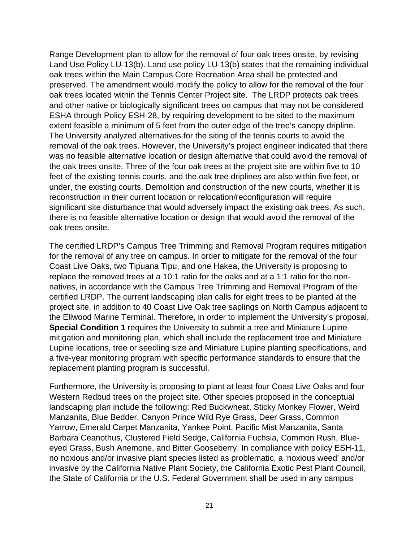Range Development plan to allow for the removal of four oak trees onsite, by revising Land Use Policy LU-13(b). Land use policy LU-13(b) states that the remaining individual oak trees within the Main Campus Core Recreation Area shall be protected and preserved. The amendment would modify the policy to allow for the removal of the four oak trees located within the Tennis Center Project site. The LRDP protects oak trees and other native or biologically significant trees on campus that may not be considered ESHA through Policy ESH-28, by requiring development to be sited to the maximum extent feasible a minimum of 5 feet from the outer edge of the tree's canopy dripline. The University analyzed alternatives for the siting of the tennis courts to avoid the removal of the oak trees. However, the University's project engineer indicated that there was no feasible alternative location or design alternative that could avoid the removal of the oak trees onsite. Three of the four oak trees at the project site are within five to 10 feet of the existing tennis courts, and the oak tree driplines are also within five feet, or under, the existing courts. Demolition and construction of the new courts, whether it is reconstruction in their current location or relocation/reconfiguration will require significant site disturbance that would adversely impact the existing oak trees. As such, there is no feasible alternative location or design that would avoid the removal of the oak trees onsite.

The certified LRDP's Campus Tree Trimming and Removal Program requires mitigation for the removal of any tree on campus. In order to mitigate for the removal of the four Coast Live Oaks, two Tipuana Tipu, and one Hakea, the University is proposing to replace the removed trees at a 10:1 ratio for the oaks and at a 1:1 ratio for the nonnatives, in accordance with the Campus Tree Trimming and Removal Program of the certified LRDP. The current landscaping plan calls for eight trees to be planted at the project site, in addition to 40 Coast Live Oak tree saplings on North Campus adjacent to the Ellwood Marine Terminal. Therefore, in order to implement the University's proposal, **Special Condition 1** requires the University to submit a tree and Miniature Lupine mitigation and monitoring plan, which shall include the replacement tree and Miniature Lupine locations, tree or seedling size and Miniature Lupine planting specifications, and a five-year monitoring program with specific performance standards to ensure that the replacement planting program is successful.

Furthermore, the University is proposing to plant at least four Coast Live Oaks and four Western Redbud trees on the project site. Other species proposed in the conceptual landscaping plan include the following: Red Buckwheat, Sticky Monkey Flower, Weird Manzanita, Blue Bedder, Canyon Prince Wild Rye Grass, Deer Grass, Common Yarrow, Emerald Carpet Manzanita, Yankee Point, Pacific Mist Manzanita, Santa Barbara Ceanothus, Clustered Field Sedge, California Fuchsia, Common Rush, Blueeyed Grass, Bush Anemone, and Bitter Gooseberry. In compliance with policy ESH-11, no noxious and/or invasive plant species listed as problematic, a 'noxious weed' and/or invasive by the California Native Plant Society, the California Exotic Pest Plant Council, the State of California or the U.S. Federal Government shall be used in any campus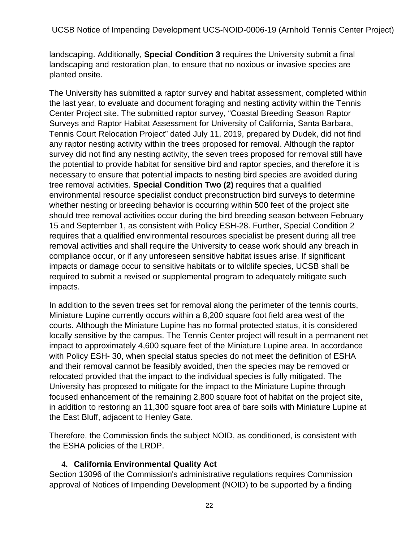UCSB Notice of Impending Development UCS-NOID-0006-19 (Arnhold Tennis Center Project)

landscaping. Additionally, **Special Condition 3** requires the University submit a final landscaping and restoration plan, to ensure that no noxious or invasive species are planted onsite.

The University has submitted a raptor survey and habitat assessment, completed within the last year, to evaluate and document foraging and nesting activity within the Tennis Center Project site. The submitted raptor survey, "Coastal Breeding Season Raptor Surveys and Raptor Habitat Assessment for University of California, Santa Barbara, Tennis Court Relocation Project" dated July 11, 2019, prepared by Dudek, did not find any raptor nesting activity within the trees proposed for removal. Although the raptor survey did not find any nesting activity, the seven trees proposed for removal still have the potential to provide habitat for sensitive bird and raptor species, and therefore it is necessary to ensure that potential impacts to nesting bird species are avoided during tree removal activities. **Special Condition Two (2)** requires that a qualified environmental resource specialist conduct preconstruction bird surveys to determine whether nesting or breeding behavior is occurring within 500 feet of the project site should tree removal activities occur during the bird breeding season between February 15 and September 1, as consistent with Policy ESH-28. Further, Special Condition 2 requires that a qualified environmental resources specialist be present during all tree removal activities and shall require the University to cease work should any breach in compliance occur, or if any unforeseen sensitive habitat issues arise. If significant impacts or damage occur to sensitive habitats or to wildlife species, UCSB shall be required to submit a revised or supplemental program to adequately mitigate such impacts.

In addition to the seven trees set for removal along the perimeter of the tennis courts, Miniature Lupine currently occurs within a 8,200 square foot field area west of the courts. Although the Miniature Lupine has no formal protected status, it is considered locally sensitive by the campus. The Tennis Center project will result in a permanent net impact to approximately 4,600 square feet of the Miniature Lupine area. In accordance with Policy ESH- 30, when special status species do not meet the definition of ESHA and their removal cannot be feasibly avoided, then the species may be removed or relocated provided that the impact to the individual species is fully mitigated. The University has proposed to mitigate for the impact to the Miniature Lupine through focused enhancement of the remaining 2,800 square foot of habitat on the project site, in addition to restoring an 11,300 square foot area of bare soils with Miniature Lupine at the East Bluff, adjacent to Henley Gate.

Therefore, the Commission finds the subject NOID, as conditioned, is consistent with the ESHA policies of the LRDP.

## **4. California Environmental Quality Act**

Section 13096 of the Commission's administrative regulations requires Commission approval of Notices of Impending Development (NOID) to be supported by a finding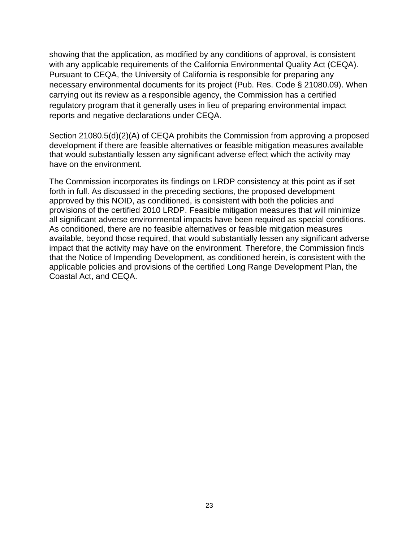showing that the application, as modified by any conditions of approval, is consistent with any applicable requirements of the California Environmental Quality Act (CEQA). Pursuant to CEQA, the University of California is responsible for preparing any necessary environmental documents for its project (Pub. Res. Code § 21080.09). When carrying out its review as a responsible agency, the Commission has a certified regulatory program that it generally uses in lieu of preparing environmental impact reports and negative declarations under CEQA.

Section 21080.5(d)(2)(A) of CEQA prohibits the Commission from approving a proposed development if there are feasible alternatives or feasible mitigation measures available that would substantially lessen any significant adverse effect which the activity may have on the environment.

The Commission incorporates its findings on LRDP consistency at this point as if set forth in full. As discussed in the preceding sections, the proposed development approved by this NOID, as conditioned, is consistent with both the policies and provisions of the certified 2010 LRDP. Feasible mitigation measures that will minimize all significant adverse environmental impacts have been required as special conditions. As conditioned, there are no feasible alternatives or feasible mitigation measures available, beyond those required, that would substantially lessen any significant adverse impact that the activity may have on the environment. Therefore, the Commission finds that the Notice of Impending Development, as conditioned herein, is consistent with the applicable policies and provisions of the certified Long Range Development Plan, the Coastal Act, and CEQA.